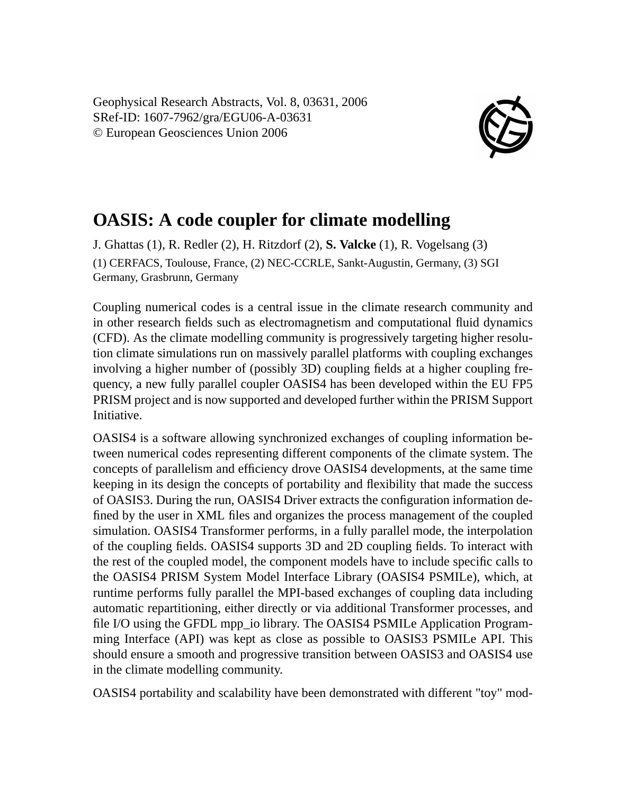Geophysical Research Abstracts, Vol. 8, 03631, 2006 SRef-ID: 1607-7962/gra/EGU06-A-03631 © European Geosciences Union 2006



## **OASIS: A code coupler for climate modelling**

J. Ghattas (1), R. Redler (2), H. Ritzdorf (2), **S. Valcke** (1), R. Vogelsang (3) (1) CERFACS, Toulouse, France, (2) NEC-CCRLE, Sankt-Augustin, Germany, (3) SGI Germany, Grasbrunn, Germany

Coupling numerical codes is a central issue in the climate research community and in other research fields such as electromagnetism and computational fluid dynamics (CFD). As the climate modelling community is progressively targeting higher resolution climate simulations run on massively parallel platforms with coupling exchanges involving a higher number of (possibly 3D) coupling fields at a higher coupling frequency, a new fully parallel coupler OASIS4 has been developed within the EU FP5 PRISM project and is now supported and developed further within the PRISM Support Initiative.

OASIS4 is a software allowing synchronized exchanges of coupling information between numerical codes representing different components of the climate system. The concepts of parallelism and efficiency drove OASIS4 developments, at the same time keeping in its design the concepts of portability and flexibility that made the success of OASIS3. During the run, OASIS4 Driver extracts the configuration information defined by the user in XML files and organizes the process management of the coupled simulation. OASIS4 Transformer performs, in a fully parallel mode, the interpolation of the coupling fields. OASIS4 supports 3D and 2D coupling fields. To interact with the rest of the coupled model, the component models have to include specific calls to the OASIS4 PRISM System Model Interface Library (OASIS4 PSMILe), which, at runtime performs fully parallel the MPI-based exchanges of coupling data including automatic repartitioning, either directly or via additional Transformer processes, and file I/O using the GFDL mpp\_io library. The OASIS4 PSMILe Application Programming Interface (API) was kept as close as possible to OASIS3 PSMILe API. This should ensure a smooth and progressive transition between OASIS3 and OASIS4 use in the climate modelling community.

OASIS4 portability and scalability have been demonstrated with different "toy" mod-